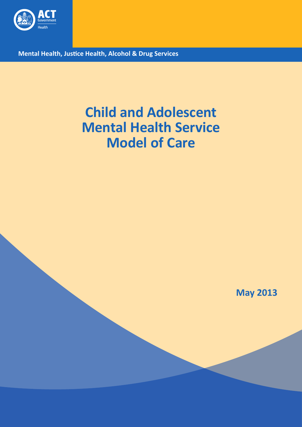

**Mental Health, Justice Health, Alcohol & Drug Services**

# **Child and Adolescent Mental Health Service Model of Care**

**May 2013**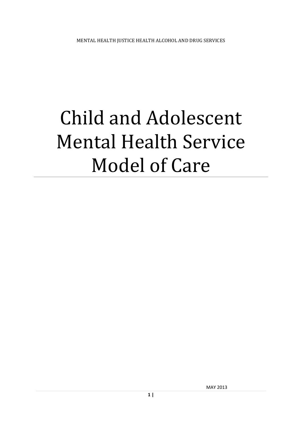# Child and Adolescent Mental Health Service Model of Care

MAY 2013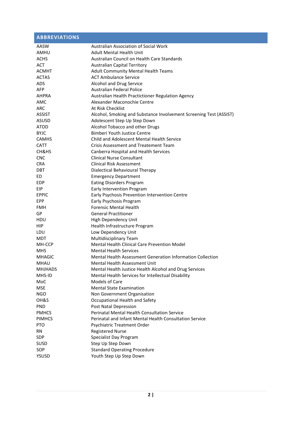| <b>ABBREVIATIONS</b> |                                                                    |
|----------------------|--------------------------------------------------------------------|
| AASW                 | Australian Association of Social Work                              |
| AMHU                 | <b>Adult Mental Health Unit</b>                                    |
| <b>ACHS</b>          | Australian Council on Health Care Standards                        |
| <b>ACT</b>           | <b>Australian Capital Territory</b>                                |
| <b>ACMHT</b>         | Adult Community Mental Health Teams                                |
| <b>ACTAS</b>         | <b>ACT Ambulance Service</b>                                       |
| <b>ADS</b>           | Alcohol and Drug Service                                           |
| <b>AFP</b>           | <b>Australian Federal Police</b>                                   |
| <b>AHPRA</b>         | Australian Health Practictioner Regulation Agency                  |
| AMC                  | Alexander Maconochie Centre                                        |
| ARC                  | At Risk Checklist                                                  |
| <b>ASSIST</b>        | Alcohol, Smoking and Substance Involvement Screening Test (ASSIST) |
| <b>ASUSD</b>         | Adolescent Step Up Step Down                                       |
| ATOD                 | Alcohol Tobacco and other Drugs                                    |
| <b>BYJC</b>          | <b>Bimberi Youth Justice Centre</b>                                |
| <b>CAMHS</b>         | Child and Adolescent Mental Health Service                         |
| <b>CATT</b>          | <b>Crisis Assessment and Treatement Team</b>                       |
| CH&HS                | Canberra Hospital and Health Services                              |
| <b>CNC</b>           | <b>Clinical Nurse Consultant</b>                                   |
| <b>CRA</b>           | <b>Clinical Risk Assessment</b>                                    |
| <b>DBT</b>           | Dialectical Behavioural Therapy                                    |
| <b>ED</b>            | <b>Emergency Department</b>                                        |
| <b>EDP</b>           | <b>Eating Disorders Program</b>                                    |
| EIP                  | Early Intervention Program                                         |
| <b>EPPIC</b>         | Early Psychosis Prevention Intervention Centre                     |
| EPP                  | Early Psychosis Program                                            |
| <b>FMH</b>           | <b>Forensic Mental Health</b>                                      |
| GP                   | <b>General Practitioner</b>                                        |
| <b>HDU</b>           | High Dependency Unit                                               |
| <b>HIP</b>           | Health Infrastructure Program                                      |
| LDU                  | Low Dependency Unit                                                |
| MDT                  | Multidisciplinary Team                                             |
| MH-CCP               | Mental Health Clinical Care Prevention Model                       |
| MHS                  | <b>Mental Health Services</b>                                      |
| MHAGIC               | <b>Mental Health Assessment Generation Information Collection</b>  |
| MHAU                 | Mental Health Assessment Unit                                      |
| <b>MHJHADS</b>       | Mental Health Justice Health Alcohol and Drug Services             |
| MHS-ID               | Mental Health Services for Intellectual Disability                 |
| MoC                  | Models of Care                                                     |
| <b>MSE</b>           | <b>Mental State Examination</b>                                    |
| <b>NGO</b>           | Non Government Organisation                                        |
| OH&S                 | Occupational Health and Safety                                     |
| <b>PND</b>           | Post Natal Depression                                              |
| <b>PMHCS</b>         | <b>Perinatal Mental Health Consultation Service</b>                |
| <b>PIMHCS</b>        | Perinatal and Infant Mental Health Consultation Service            |
| <b>PTO</b>           | Psychiatric Treatment Order                                        |
| <b>RN</b>            | <b>Registered Nurse</b>                                            |
| SDP                  | Specialist Day Program                                             |
| <b>SUSD</b>          | Step Up Step Down                                                  |
| SOP                  | <b>Standard Operating Procedure</b>                                |
| YSUSD                | Youth Step Up Step Down                                            |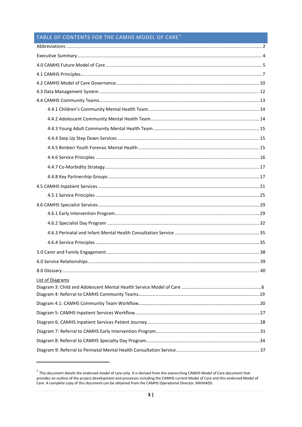# TABLE OF CONTENTS FOR THE CAMHS MODEL OF CARE<sup>1</sup>

| <b>List of Diagrams</b> |  |
|-------------------------|--|
|                         |  |
|                         |  |
|                         |  |
|                         |  |
|                         |  |
|                         |  |
|                         |  |
|                         |  |

<span id="page-3-0"></span> $^1$  This document details the endorsed model of care only. It is derived from the overarching CAMHS Model of Care document that provides an outline of the project development and processes including the CAMHS current Mod Care. A complete copy of this document can be obtained from the CAMHS Operational Director, MHJHADS.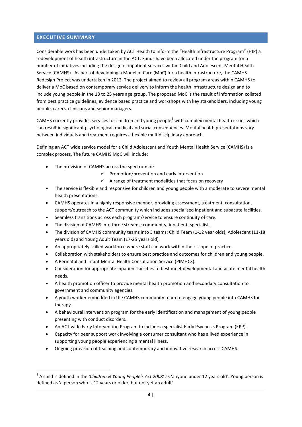# **EXECUTIVE SUMMARY**

Considerable work has been undertaken by ACT Health to inform the "Health Infrastructure Program" (HIP) a redevelopment of health infrastructure in the ACT. Funds have been allocated under the program for a number of initiatives including the design of inpatient services within Child and Adolescent Mental Health Service (CAMHS). As part of developing a Model of Care (MoC) for a health infrastructure, the CAMHS Redesign Project was undertaken in 2012. The project aimed to review all program areas within CAMHS to deliver a MoC based on contemporary service delivery to inform the health infrastructure design and to include young people in the 18 to 25 years age group. The proposed MoC is the result of information collated from best practice guidelines, evidence based practice and workshops with key stakeholders, including young people, carers, clinicians and senior managers.

CAMHS currently provides services for children and young people<sup>[2](#page-4-0)</sup> with complex mental health issues which can result in significant psychological, medical and social consequences. Mental health presentations vary between individuals and treatment requires a flexible multidisciplinary approach.

Defining an ACT wide service model for a Child Adolescent and Youth Mental Health Service (CAMHS) is a complex process. The future CAMHS MoC will include:

- The provision of CAMHS across the spectrum of:
	- $\checkmark$  Promotion/prevention and early intervention
	- $\checkmark$  A range of treatment modalities that focus on recovery
- The service is flexible and responsive for children and young people with a moderate to severe mental health presentations.
- CAMHS operates in a highly responsive manner, providing assessment, treatment, consultation, support/outreach to the ACT community which includes specialised inpatient and subacute facilities.
- Seamless transitions across each program/service to ensure continuity of care.
- The division of CAMHS into three streams: community, inpatient, specialist.
- The division of CAMHS community teams into 3 teams: Child Team (1-12 year olds), Adolescent (11-18 years old) and Young Adult Team (17-25 years old).
- An appropriately skilled workforce where staff can work within their scope of practice.
- Collaboration with stakeholders to ensure best practice and outcomes for children and young people.
- A Perinatal and Infant Mental Health Consultation Service (PIMHCS).
- Consideration for appropriate inpatient facilities to best meet developmental and acute mental health needs.
- A health promotion officer to provide mental health promotion and secondary consultation to government and community agencies.
- A youth worker embedded in the CAMHS community team to engage young people into CAMHS for therapy.
- A behavioural intervention program for the early identification and management of young people presenting with conduct disorders.
- An ACT wide Early Intervention Program to include a specialist Early Psychosis Program (EPP).
- Capacity for peer support work involving a consumer consultant who has a lived experience in supporting young people experiencing a mental illness.
- Ongoing provision of teaching and contemporary and innovative research across CAMHS.

<span id="page-4-0"></span> <sup>2</sup> A child is defined in the *'Children & Young People's Act 2008'* as 'anyone under 12 years old'. Young person is defined as 'a person who is 12 years or older, but not yet an adult'.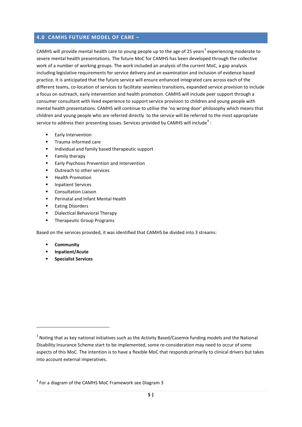# **4.0 CAMHS FUTURE MODEL OF CARE –**

CAMHS will provide mental health care to young people up to the age of 25 years<sup>[3](#page-5-0)</sup> experiencing moderate to severe mental health presentations. The future MoC for CAMHS has been developed through the collective work of a number of working groups. The work included an analysis of the current MoC, a gap analysis including legislative requirements for service delivery and an examination and inclusion of evidence based practice. It is anticipated that the future service will ensure enhanced integrated care across each of the different teams, co-location of services to facilitate seamless transitions, expanded service provision to include a focus on outreach, early intervention and health promotion. CAMHS will include peer support through a consumer consultant with lived experience to support service provision to children and young people with mental health presentations. CAMHS will continue to utilise the 'no wrong door' philosophy which means that children and young people who are referred directly to the service will be referred to the most appropriate service to address their presenting issues. Services provided by CAMHS will include<sup>[4](#page-5-1)</sup> :

- **Early Intervention**
- **Trauma informed care**
- **Individual and family based therapeutic support**
- **Family therapy**
- **Early Psychosis Prevention and Intervention**
- Outreach to other services
- **-** Health Promotion
- **Inpatient Services**
- **Consultation Liaison**
- **Perinatal and Infant Mental Health**
- **Eating Disorders**
- **Dialectical Behavioral Therapy**
- **Therapeutic Group Programs**

Based on the services provided, it was identified that CAMHS be divided into 3 streams:

**Community**

**.** 

- **Inpatient/Acute**
- **Specialist Services**

<span id="page-5-0"></span><sup>&</sup>lt;sup>3</sup> Noting that as key national initiatives such as the Activity Based/Casemix funding models and the National Disability Insurance Scheme start to be implemented, some re-consideration may need to occur of some aspects of this MoC. The intention is to have a flexible MoC that responds primarily to clinical drivers but takes into account external imperatives.

<span id="page-5-1"></span> $4$  For a diagram of the CAMHS MoC Framework see Diagram 3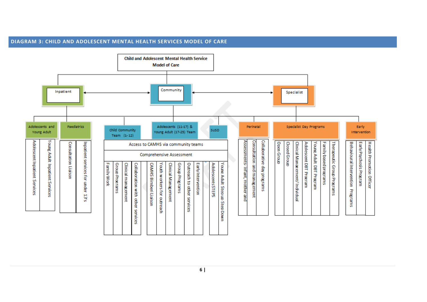

#### **DIAGRAM 3: CHILD AND ADOLESCENT MENTAL HEALTH SERVICES MODEL OF CARE**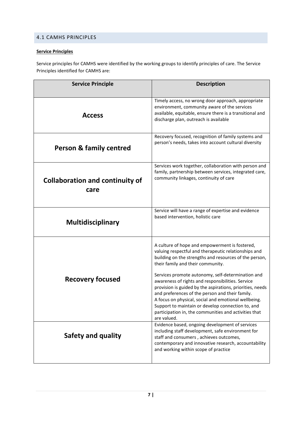# 4.1 CAMHS PRINCIPLES

# **Service Principles**

Service principles for CAMHS were identified by the working groups to identify principles of care. The Service Principles identified for CAMHS are:

| <b>Service Principle</b>                       | <b>Description</b>                                                                                                                                                                                                                                                                                                                                                                                                                                                                                                                                                                                                   |
|------------------------------------------------|----------------------------------------------------------------------------------------------------------------------------------------------------------------------------------------------------------------------------------------------------------------------------------------------------------------------------------------------------------------------------------------------------------------------------------------------------------------------------------------------------------------------------------------------------------------------------------------------------------------------|
| <b>Access</b>                                  | Timely access, no wrong door approach, appropriate<br>environment, community aware of the services<br>available, equitable, ensure there is a transitional and<br>discharge plan, outreach is available                                                                                                                                                                                                                                                                                                                                                                                                              |
| <b>Person &amp; family centred</b>             | Recovery focused, recognition of family systems and<br>person's needs, takes into account cultural diversity                                                                                                                                                                                                                                                                                                                                                                                                                                                                                                         |
| <b>Collaboration and continuity of</b><br>care | Services work together, collaboration with person and<br>family, partnership between services, integrated care,<br>community linkages, continuity of care                                                                                                                                                                                                                                                                                                                                                                                                                                                            |
| <b>Multidisciplinary</b>                       | Service will have a range of expertise and evidence<br>based intervention, holistic care                                                                                                                                                                                                                                                                                                                                                                                                                                                                                                                             |
| <b>Recovery focused</b>                        | A culture of hope and empowerment is fostered,<br>valuing respectful and therapeutic relationships and<br>building on the strengths and resources of the person,<br>their family and their community.<br>Services promote autonomy, self-determination and<br>awareness of rights and responsibilities. Service<br>provision is guided by the aspirations, priorities, needs<br>and preferences of the person and their family.<br>A focus on physical, social and emotional wellbeing.<br>Support to maintain or develop connection to, and<br>participation in, the communities and activities that<br>are valued. |
| <b>Safety and quality</b>                      | Evidence based, ongoing development of services<br>including staff development, safe environment for<br>staff and consumers, achieves outcomes,<br>contemporary and innovative research, accountability<br>and working within scope of practice                                                                                                                                                                                                                                                                                                                                                                      |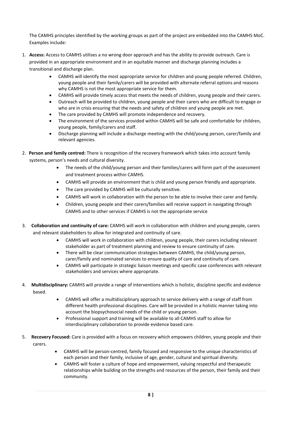The CAMHS principles identified by the working groups as part of the project are embedded into the CAMHS MoC. Examples include:

- 1. **Access:** Access to CAMHS utilises a no wrong door approach and has the ability to provide outreach. Care is provided in an appropriate environment and in an equitable manner and discharge planning includes a transitional and discharge plan.
	- CAMHS will identify the most appropriate service for children and young people referred. Children, young people and their family/carers will be provided with alternate referral options and reasons why CAMHS is not the most appropriate service for them.
	- CAMHS will provide timely access that meets the needs of children, young people and their carers.
	- Outreach will be provided to children, young people and their carers who are difficult to engage or who are in crisis ensuring that the needs and safety of children and young people are met.
	- The care provided by CAMHS will promote independence and recovery.
	- The environment of the services provided within CAMHS will be safe and comfortable for children, young people, family/carers and staff.
	- Discharge planning will include a discharge meeting with the child/young person, carer/family and relevant agencies.
- 2. **Person and family centred:** There is recognition of the recovery framework which takes into account family systems, person's needs and cultural diversity.
	- The needs of the child/young person and their families/carers will form part of the assessment and treatment process within CAMHS.
	- CAMHS will provide an environment that is child and young person friendly and appropriate.
	- The care provided by CAMHS will be culturally sensitive.
	- CAMHS will work in collaboration with the person to be able to involve their carer and family.
	- Children, young people and their carers/families will receive support in navigating through CAMHS and to other services if CAMHS is not the appropriate service
- 3. **Collaboration and continuity of care:** CAMHS will work in collaboration with children and young people, carers and relevant stakeholders to allow for integrated and continuity of care.
	- CAMHS will work in collaboration with children, young people, their carers including relevant stakeholder as part of treatment planning and review to ensure continuity of care.
	- There will be clear communication strategies between CAMHS, the child/young person, carer/family and nominated services to ensure quality of care and continuity of care.
	- CAMHS will participate in strategic liaison meetings and specific case conferences with relevant stakeholders and services where appropriate.
- 4. **Multidisciplinary:** CAMHS will provide a range of interventions which is holistic, discipline specific and evidence based.
	- CAMHS will offer a multidisciplinary approach to service delivery with a range of staff from different health professional disciplines. Care will be provided in a holistic manner taking into account the biopsychosocial needs of the child or young person.
	- Professional support and training will be available to all CAMHS staff to allow for interdisciplinary collaboration to provide evidence based care.
- 5. **Recovery Focused:** Care is provided with a focus on recovery which empowers children, young people and their carers.
	- CAMHS will be person-centred, family focused and responsive to the unique characteristics of each person and their family, inclusive of age, gender, cultural and spiritual diversity.
	- CAMHS will foster a culture of hope and empowerment, valuing respectful and therapeutic relationships while building on the strengths and resources of the person, their family and their community.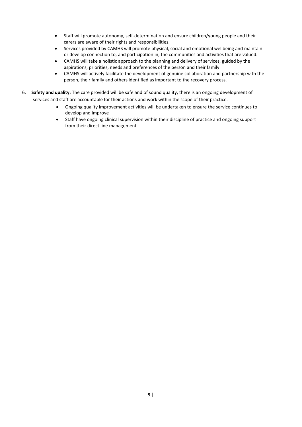- Staff will promote autonomy, self-determination and ensure children/young people and their carers are aware of their rights and responsibilities.
- Services provided by CAMHS will promote physical, social and emotional wellbeing and maintain or develop connection to, and participation in, the communities and activities that are valued.
- CAMHS will take a holistic approach to the planning and delivery of services, guided by the aspirations, priorities, needs and preferences of the person and their family.
- CAMHS will actively facilitate the development of genuine collaboration and partnership with the person, their family and others identified as important to the recovery process.
- 6. **Safety and quality:** The care provided will be safe and of sound quality, there is an ongoing development of services and staff are accountable for their actions and work within the scope of their practice.
	- Ongoing quality improvement activities will be undertaken to ensure the service continues to develop and improve
	- Staff have ongoing clinical supervision within their discipline of practice and ongoing support from their direct line management.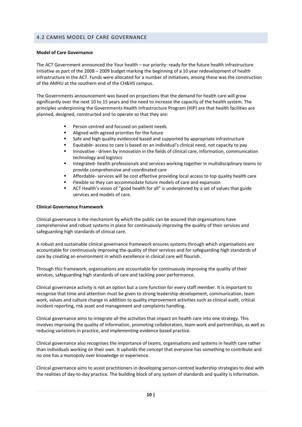# 4.2 CAMHS MODEL OF CARE GOVERNANCE

#### **Model of Care Governance**

The ACT Government announced the Your health – our priority: ready for the future health infrastructure initiative as part of the 2008 – 2009 budget marking the beginning of a 10 year redevelopment of health infrastructure in the ACT. Funds were allocated for a number of initiatives; among these was the construction of the AMHU at the southern end of the CH&HS campus.

The Governments announcement was based on projections that the demand for health care will grow significantly over the next 10 to 15 years and the need to increase the capacity of the health system. The principles underpinning the Governments Health Infrastructure Program (HIP) are that health facilities are planned, designed, constructed and to operate so that they are:

- Person centred and focused on patient needs
- Aligned with agreed priorities for the future
- Safe and high quality evidenced based and supported by appropriate infrastructure
- Equitable- access to care is based on an individual's clinical need, not capacity to pay
- Innovative driven by innovation in the fields of clinical care, information, communication technology and logistics
- Integrated- health professionals and services working together in multidisciplinary teams to provide comprehensive and coordinated care
- Affordable- services will be cost effective providing local access to top quality health care
- Flexible so they can accommodate future models of care and expansion
- ACT Health's vision of "good health for all" is underpinned by a set of values that guide services and models of care.

#### **Clinical Governance Framework**

Clinical governance is the mechanism by which the public can be assured that organisations have comprehensive and robust systems in place for continuously improving the quality of their services and safeguarding high standards of clinical care.

A robust and sustainable clinical governance framework ensures systems through which organisations are accountable for continuously improving the quality of their services and for safeguarding high standards of care by creating an environment in which excellence in clinical care will flourish.

Through this framework, organisations are accountable for continuously improving the quality of their services, safeguarding high standards of care and tackling poor performance.

Clinical governance activity is not an option but a core function for every staff member. It is important to recognise that time and attention must be given to strong leadership development, communication, team work, values and culture change in addition to quality improvement activities such as clinical audit, critical incident reporting, risk asset and management and complaints handling.

Clinical governance aims to integrate all the activities that impact on health care into one strategy. This involves improving the quality of information, promoting collaboration, team work and partnerships, as well as reducing variations in practice, and implementing evidence based practice.

Clinical governance also recognises the importance of teams, organisations and systems in health care rather than individuals working on their own. It upholds the concept that everyone has something to contribute and no one has a monopoly over knowledge or experience.

Clinical governance aims to assist practitioners in developing person-centred leadership strategies to deal with the realities of day-to-day practice. The building block of any system of standards and quality is information.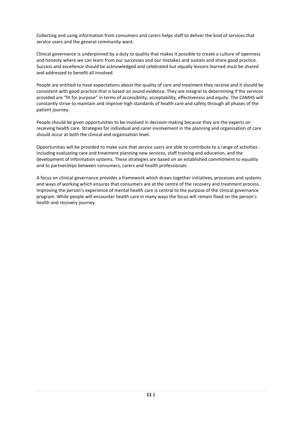Collecting and using information from consumers and carers helps staff to deliver the kind of services that service users and the general community want.

Clinical governance is underpinned by a duty to quality that makes it possible to create a culture of openness and honesty where we can learn from our successes and our mistakes and sustain and share good practice. Success and excellence should be acknowledged and celebrated but equally lessons learned must be shared and addressed to benefit all involved.

People are entitled to have expectations about the quality of care and treatment they receive and it should be consistent with good practice that is based on sound evidence. They are integral to determining if the services provided are "fit for purpose" in terms of accessibility, acceptability, effectiveness and equity. The CAMHS will constantly strive to maintain and improve high standards of health care and safety through all phases of the patient journey.

People should be given opportunities to be involved in decision-making because they are the experts on receiving health care. Strategies for individual and carer involvement in the planning and organisation of care should occur at both the clinical and organisation level.

Opportunities will be provided to make sure that service users are able to contribute to a range of activities including evaluating care and treatment planning new services, staff training and education, and the development of information systems. These strategies are based on an established commitment to equality and to partnerships between consumers, carers and health professionals.

A focus on clinical governance provides a framework which draws together initiatives, processes and systems and ways of working which ensures that consumers are at the centre of the recovery and treatment process. Improving the person's experience of mental health care is central to the purpose of the clinical governance program. While people will encounter health care in many ways the focus will remain fixed on the person's health and recovery journey.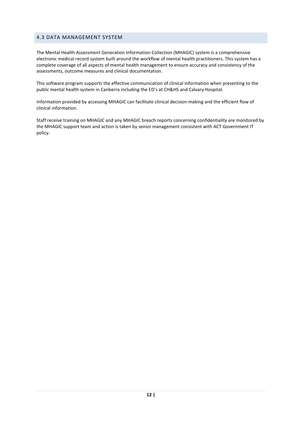# 4.3 DATA MANAGEMENT SYSTEM

The Mental Health Assessment Generation Information Collection (MHAGIC) system is a comprehensive electronic medical record system built around the workflow of mental health practitioners. This system has a complete coverage of all aspects of mental health management to ensure accuracy and consistency of the assessments, outcome measures and clinical documentation.

This software program supports the effective communication of clinical information when presenting to the public mental health system in Canberra including the ED's at CH&HS and Calvary Hospital.

Information provided by accessing MHAGIC can facilitate clinical decision-making and the efficient flow of clinical information.

Staff receive training on MHAGIC and any MHAGIC breach reports concerning confidentiality are monitored by the MHAGIC support team and action is taken by senior management consistent with ACT Government IT policy.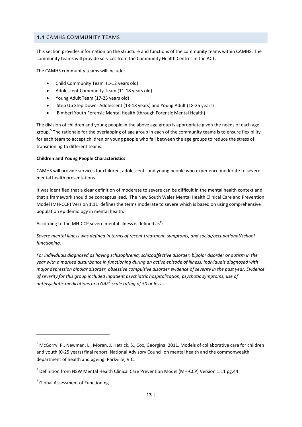# 4.4 CAMHS COMMUNITY TEAMS

This section provides information on the structure and functions of the community teams within CAMHS. The community teams will provide services from the Community Health Centres in the ACT.

The CAMHS community teams will include:

- Child Community Team (1-12 years old)
- Adolescent Community Team (11-18 years old)
- Young Adult Team (17-25 years old)
- Step Up Step Down- Adolescent (13-18 years) and Young Adult (18-25 years)
- Bimberi Youth Forensic Mental Health (through Forensic Mental Health)

The division of children and young people in the above age group is appropriate given the needs of each age group.<sup>[5](#page-13-0)</sup> The rationale for the overlapping of age group in each of the community teams is to ensure flexibility for each team to accept children or young people who fall between the age groups to reduce the stress of transitioning to different teams.

#### **Children and Young People Characteristics**

CAMHS will provide services for children, adolescents and young people who experience moderate to severe mental health presentations.

It was identified that a clear definition of moderate to severe can be difficult in the mental health context and that a framework should be conceptualised. The New South Wales Mental Health Clinical Care and Prevention Model (MH-CCP) Version 1.11 defines the terms moderate to severe which is based on using comprehensive population epidemiology in mental health.

According to the MH-CCP severe mental illness is defined as  $6$ :

*Severe mental illness was defined in terms of recent treatment, symptoms, and social/occupational/school functioning.* 

*For individuals diagnosed as having schizophrenia, schizoaffective disorder, bipolar disorder or autism in the year with a marked disturbance in functioning during an active episode of illness. Individuals diagnosed with major depression bipolar disorder, obsessive compulsive disorder evidence of severity in the past year. Evidence of severity for this group included inpatient psychiatric hospitalization, psychotic symptoms, use of antipsychotic medications or a GAF[7](#page-13-2) scale rating of 50 or less.* 

1

<span id="page-13-0"></span><sup>5</sup> McGorry, P., Newman, L., Moran, J. Hetrick, S., Cox, Georgina. 2011. Models of collaborative care for children and youth (0-25 years) final report. National Advisory Council on mental health and the commonwealth department of health and ageing. Parkville, VIC.

<span id="page-13-1"></span><sup>6</sup> Definition from NSW Mental Health Clinical Care Prevention Model (MH-CCP) Version 1.11 pg.44

<span id="page-13-2"></span><sup>7</sup> Global Assessment of Functioning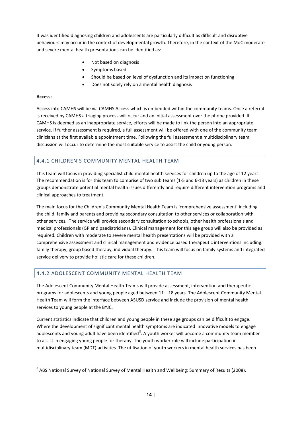It was identified diagnosing children and adolescents are particularly difficult as difficult and disruptive behaviours may occur in the context of developmental growth. Therefore, in the context of the MoC moderate and severe mental health presentations can be identified as:

- Not based on diagnosis
- Symptoms based
- Should be based on level of dysfunction and its impact on functioning
- Does not solely rely on a mental health diagnosis

# **Access:**

Access into CAMHS will be via CAMHS Access which is embedded within the community teams. Once a referral is received by CAMHS a triaging process will occur and an initial assessment over the phone provided. If CAMHS is deemed as an inappropriate service, efforts will be made to link the person into an appropriate service. If further assessment is required, a full assessment will be offered with one of the community team clinicians at the first available appointment time. Following the full assessment a multidisciplinary team discussion will occur to determine the most suitable service to assist the child or young person.

# 4.4.1 CHILDREN'S COMMUNITY MENTAL HEALTH TEAM

This team will focus in providing specialist child mental health services for children up to the age of 12 years. The recommendation is for this team to comprise of two sub teams (1-5 and 6-13 years) as children in these groups demonstrate potential mental health issues differently and require different intervention programs and clinical approaches to treatment.

The main focus for the Children's Community Mental Health Team is 'comprehensive assessment' including the child, family and parents and providing secondary consultation to other services or collaboration with other services. The service will provide secondary consultation to schools, other health professionals and medical professionals (GP and paediatricians). Clinical management for this age group will also be provided as required. Children with moderate to severe mental health presentations will be provided with a comprehensive assessment and clinical management and evidence based therapeutic interventions including: family therapy, group based therapy, individual therapy. This team will focus on family systems and integrated service delivery to provide holistic care for these children.

# 4.4.2 ADOLESCENT COMMUNITY MENTAL HEALTH TEAM

The Adolescent Community Mental Health Teams will provide assessment, intervention and therapeutic programs for adolescents and young people aged between 11—18 years. The Adolescent Community Mental Health Team will form the interface between ASUSD service and include the provision of mental health services to young people at the BYJC.

Current statistics indicate that children and young people in these age groups can be difficult to engage. Where the development of significant mental health symptoms are indicated innovative models to engage adolescents and young adult have been identified<sup>[8](#page-14-0)</sup>. A youth worker will become a community team member to assist in engaging young people for therapy. The youth worker role will include participation in multidisciplinary team (MDT) activities. The utilisation of youth workers in mental health services has been

<span id="page-14-0"></span><sup>&</sup>lt;sup>8</sup> ABS National Survey of National Survey of Mental Health and Wellbeing: Summary of Results (2008).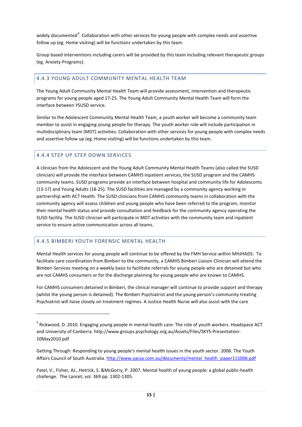widely documented<sup>[9](#page-15-0)</sup>. Collaboration with other services for young people with complex needs and assertive follow up (eg. Home visiting) will be functions undertaken by this team.

Group based interventions including carers will be provided by this team including relevant therapeutic groups (eg. Anxiety Programs).

#### 4.4.3 YOUNG ADULT COMMUNITY MENTAL HEALTH TEAM

The Young Adult Community Mental Health Team will provide assessment, intervention and therapeutic programs for young people aged 17-25. The Young Adult Community Mental Health Team will form the interface between YSUSD service.

Similar to the Adolescent Community Mental Health Team, a youth worker will become a community team member to assist in engaging young people for therapy. The youth worker role will include participation in multidisciplinary team (MDT) activities. Collaboration with other services for young people with complex needs and assertive follow up (eg. Home visiting) will be functions undertaken by this team.

# 4.4.4 STEP UP STEP DOWN SERVICES

**.** 

A clinician from the Adolescent and the Young Adult Community Mental Health Teams (also called the SUSD clinician) will provide the interface between CAMHS inpatient services, the SUSD program and the CAMHS community teams. SUSD programs provide an interface between hospital and community life for Adolescents (13-17) and Young Adults (18-25). The SUSD facilities are managed by a community agency working in partnership with ACT Health. The SUSD clinicians from CAMHS community teams in collaboration with the community agency will assess children and young people who have been referred to the program, monitor their mental health status and provide consultation and feedback for the community agency operating the SUSD facility. The SUSD clinician will participate in MDT activities with the community team and inpatient service to ensure active communication across all teams.

# 4.4.5 BIMBERI YOUTH FORENSIC MENTAL HEALTH

Mental Health services for young people will continue to be offered by the FMH Service within MHJHADS. To facilitate care coordination from Bimberi to the community, a CAMHS Bimberi Liaison Clinician will attend the Bimberi Services meeting on a weekly basis to facilitate referrals for young people who are detained but who are not CAMHS consumers or for the discharge planning for young people who are known to CAMHS.

For CAMHS consumers detained in Bimberi, the clinical manager will continue to provide support and therapy (whilst the young person is detained). The Bimberi Psychiatrist and the young person's community treating Psychiatrist will liaise closely on treatment regimes. A Justice Health Nurse will also assist with the care

<span id="page-15-0"></span><sup>&</sup>lt;sup>9</sup> Rickwood, D. 2010. Engaging young people in mental health care: The role of youth workers. Headspace ACT and University of Canberra. http://www.groups.psychology.org.au/Assets/Files/SKYS-Presentation-10May2010.pdf

Getting Through: Responding to young people's mental health issues in the youth sector. 2006. The Youth Affairs Council of South Australia. [http://www.yacsa.com.au/documents/mental\\_health\\_paper111006.pdf](http://www.yacsa.com.au/documents/mental_health_paper111006.pdf)

Patel, V., Fisher, AJ., Hetrick, S. &McGorry, P. 2007. Mental health of young people: a global public-health challenge. The Lancet; vol. 369 pp. 1302-1305.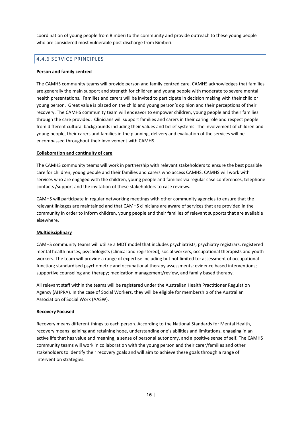coordination of young people from Bimberi to the community and provide outreach to these young people who are considered most vulnerable post discharge from Bimberi.

# 4.4.6 SERVICE PRINCIPLES

#### **Person and family centred**

The CAMHS community teams will provide person and family centred care. CAMHS acknowledges that families are generally the main support and strength for children and young people with moderate to severe mental health presentations. Families and carers will be invited to participate in decision making with their child or young person. Great value is placed on the child and young person's opinion and their perceptions of their recovery. The CAMHS community team will endeavor to empower children, young people and their families through the care provided. Clinicians will support families and carers in their caring role and respect people from different cultural backgrounds including their values and belief systems. The involvement of children and young people, their carers and families in the planning, delivery and evaluation of the services will be encompassed throughout their involvement with CAMHS.

#### **Collaboration and continuity of care**

The CAMHS community teams will work in partnership with relevant stakeholders to ensure the best possible care for children, young people and their families and carers who access CAMHS. CAMHS will work with services who are engaged with the children, young people and families via regular case conferences, telephone contacts /support and the invitation of these stakeholders to case reviews.

CAMHS will participate in regular networking meetings with other community agencies to ensure that the relevant linkages are maintained and that CAMHS clinicians are aware of services that are provided in the community in order to inform children, young people and their families of relevant supports that are available elsewhere.

#### **Multidisciplinary**

CAMHS community teams will utilise a MDT model that includes psychiatrists, psychiatry registrars, registered mental health nurses, psychologists (clinical and registered), social workers, occupational therapists and youth workers. The team will provide a range of expertise including but not limited to: assessment of occupational function; standardised psychometric and occupational therapy assessments; evidence based interventions; supportive counseling and therapy; medication management/review, and family based therapy.

All relevant staff within the teams will be registered under the Australian Health Practitioner Regulation Agency (AHPRA). In the case of Social Workers, they will be eligible for membership of the Australian Association of Social Work (AASW).

#### **Recovery Focused**

Recovery means different things to each person. According to the National Standards for Mental Health, recovery means: gaining and retaining hope, understanding one's abilities and limitations, engaging in an active life that has value and meaning, a sense of personal autonomy, and a positive sense of self. The CAMHS community teams will work in collaboration with the young person and their carer/families and other stakeholders to identify their recovery goals and will aim to achieve these goals through a range of intervention strategies.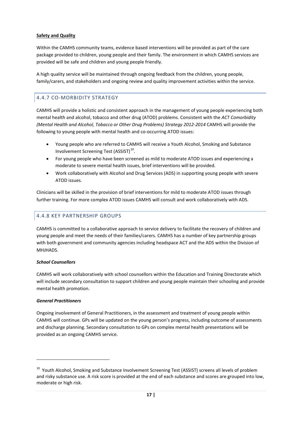#### **Safety and Quality**

Within the CAMHS community teams, evidence based interventions will be provided as part of the care package provided to children, young people and their family. The environment in which CAMHS services are provided will be safe and children and young people friendly.

A high quality service will be maintained through ongoing feedback from the children, young people, family/carers, and stakeholders and ongoing review and quality improvement activities within the service.

# 4.4.7 CO-MORBIDITY STRATEGY

CAMHS will provide a holistic and consistent approach in the management of young people experiencing both mental health and alcohol, tobacco and other drug (ATOD) problems. Consistent with the *ACT Comorbidity (Mental Health and Alcohol, Tobacco or Other Drug Problems) Strategy 2012-2014* CAMHS will provide the following to young people with mental health and co-occurring ATOD issues:

- Young people who are referred to CAMHS will receive a Youth Alcohol, Smoking and Substance Involvement Screening Test (ASSIST) $^{10}$ .
- For young people who have been screened as mild to moderate ATOD issues and experiencing a moderate to severe mental health issues, brief interventions will be provided.
- Work collaboratively with Alcohol and Drug Services (ADS) in supporting young people with severe ATOD issues.

Clinicians will be skilled in the provision of brief interventions for mild to moderate ATOD issues through further training. For more complex ATOD issues CAMHS will consult and work collaboratively with ADS.

# 4.4.8 KEY PARTNERSHIP GROUPS

CAMHS is committed to a collaborative approach to service delivery to facilitate the recovery of children and young people and meet the needs of their families/carers. CAMHS has a number of key partnership groups with both government and community agencies including headspace ACT and the ADS within the Division of MHJHADS.

#### *School Counsellors*

CAMHS will work collaboratively with school counsellors within the Education and Training Directorate which will include secondary consultation to support children and young people maintain their schooling and provide mental health promotion.

#### *General Practitioners*

**.** 

Ongoing involvement of General Practitioners, in the assessment and treatment of young people within CAMHS will continue. GPs will be updated on the young person's progress, including outcome of assessments and discharge planning. Secondary consultation to GPs on complex mental health presentations will be provided as an ongoing CAMHS service.

<span id="page-17-0"></span><sup>&</sup>lt;sup>10</sup> Youth Alcohol, Smoking and Substance Involvement Screening Test (ASSIST) screens all levels of problem and risky substance use. A risk score is provided at the end of each substance and scores are grouped into low, moderate or high risk.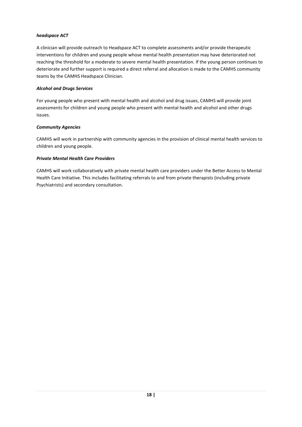#### *headspace ACT*

A clinician will provide outreach to Headspace ACT to complete assessments and/or provide therapeutic interventions for children and young people whose mental health presentation may have deteriorated not reaching the threshold for a moderate to severe mental health presentation. If the young person continues to deteriorate and further support is required a direct referral and allocation is made to the CAMHS community teams by the CAMHS Headspace Clinician.

#### *Alcohol and Drugs Services*

For young people who present with mental health and alcohol and drug issues, CAMHS will provide joint assessments for children and young people who present with mental health and alcohol and other drugs issues.

#### *Community Agencies*

CAMHS will work in partnership with community agencies in the provision of clinical mental health services to children and young people.

#### *Private Mental Health Care Providers*

CAMHS will work collaboratively with private mental health care providers under the Better Access to Mental Health Care Initiative. This includes facilitating referrals to and from private therapists (including private Psychiatrists) and secondary consultation.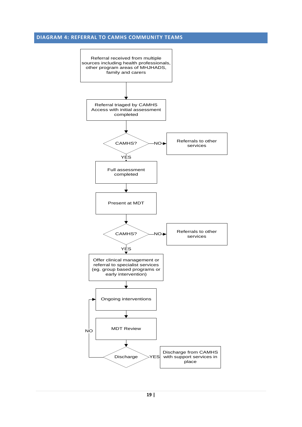# **DIAGRAM 4: REFERRAL TO CAMHS COMMUNITY TEAMS**

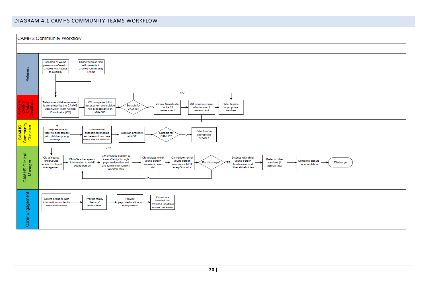#### DIAGRAM 4.1 CAMHS COMMUNITY TEAMS WORKFLOW

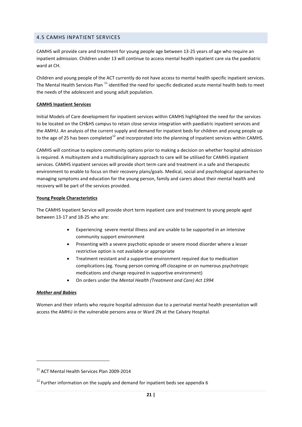# 4.5 CAMHS INPATIENT SERVICES

CAMHS will provide care and treatment for young people age between 13-25 years of age who require an inpatient admission. Children under 13 will continue to access mental health inpatient care via the paediatric ward at CH.

Children and young people of the ACT currently do not have access to mental health specific inpatient services. The Mental Health Services Plan <sup>[11](#page-21-0)</sup> identified the need for specific dedicated acute mental health beds to meet the needs of the adolescent and young adult population.

#### **CAMHS Inpatient Services**

Initial Models of Care development for inpatient services within CAMHS highlighted the need for the services to be located on the CH&HS campus to retain close service integration with paediatric inpatient services and the AMHU. An analysis of the current supply and demand for inpatient beds for children and young people up to the age of 25 has been completed<sup>[12](#page-21-1)</sup> and incorporated into the planning of inpatient services within CAMHS.

CAMHS will continue to explore community options prior to making a decision on whether hospital admission is required. A multisystem and a multidisciplinary approach to care will be utilised for CAMHS inpatient services. CAMHS inpatient services will provide short term care and treatment in a safe and therapeutic environment to enable to focus on their recovery plans/goals. Medical, social and psychological approaches to managing symptoms and education for the young person, family and carers about their mental health and recovery will be part of the services provided.

#### **Young People Characteristics**

The CAMHS Inpatient Service will provide short term inpatient care and treatment to young people aged between 13-17 and 18-25 who are:

- Experiencing severe mental illness and are unable to be supported in an intensive community support environment
- Presenting with a severe psychotic episode or severe mood disorder where a lesser restrictive option is not available or appropriate
- Treatment resistant and a supportive environment required due to medication complications (eg. Young person coming off clozapine or on numerous psychotropic medications and change required in supportive environment)
- On orders under the *Mental Health (Treatment and Care) Act 1994*

#### *Mother and Babies*

1

Women and their infants who require hospital admission due to a perinatal mental health presentation will access the AMHU in the vulnerable persons area or Ward 2N at the Calvary Hospital.

<span id="page-21-0"></span> $11$  ACT Mental Health Services Plan 2009-2014

<span id="page-21-1"></span> $12$  Further information on the supply and demand for inpatient beds see appendix 6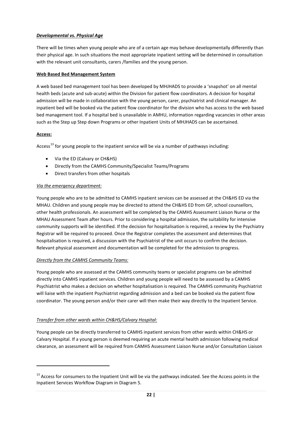#### *Developmental vs. Physical Age*

There will be times when young people who are of a certain age may behave developmentally differently than their physical age. In such situations the most appropriate inpatient setting will be determined in consultation with the relevant unit consultants, carers /families and the young person.

#### **Web Based Bed Management System**

A web based bed management tool has been developed by MHJHADS to provide a 'snapshot' on all mental health beds (acute and sub-acute) within the Division for patient flow coordinators. A decision for hospital admission will be made in collaboration with the young person, carer, psychiatrist and clinical manager. An inpatient bed will be booked via the patient flow coordinator for the division who has access to the web based bed management tool. If a hospital bed is unavailable in AMHU, information regarding vacancies in other areas such as the Step up Step down Programs or other Inpatient Units of MHJHADS can be ascertained.

#### **Access:**

**.** 

Access<sup>[13](#page-22-0)</sup> for young people to the inpatient service will be via a number of pathways including:

- Via the ED (Calvary or CH&HS)
- Directly from the CAMHS Community/Specialist Teams/Programs
- Direct transfers from other hospitals

#### *Via the emergency department:*

Young people who are to be admitted to CAMHS inpatient services can be assessed at the CH&HS ED via the MHAU. Children and young people may be directed to attend the CH&HS ED from GP, school counsellors, other health professionals. An assessment will be completed by the CAMHS Assessment Liaison Nurse or the MHAU Assessment Team after hours. Prior to considering a hospital admission, the suitability for intensive community supports will be identified. If the decision for hospitalisation is required, a review by the Psychiatry Registrar will be required to proceed. Once the Registrar completes the assessment and determines that hospitalisation is required, a discussion with the Psychiatrist of the unit occurs to confirm the decision. Relevant physical assessment and documentation will be completed for the admission to progress.

# *Directly from the CAMHS Community Teams:*

Young people who are assessed at the CAMHS community teams or specialist programs can be admitted directly into CAMHS inpatient services. Children and young people will need to be assessed by a CAMHS Psychiatrist who makes a decision on whether hospitalisation is required. The CAMHS community Psychiatrist will liaise with the inpatient Psychiatrist regarding admission and a bed can be booked via the patient flow coordinator. The young person and/or their carer will then make their way directly to the Inpatient Service.

# *Transfer from other wards within CH&HS/Calvary Hospital:*

Young people can be directly transferred to CAMHS inpatient services from other wards within CH&HS or Calvary Hospital. If a young person is deemed requiring an acute mental health admission following medical clearance, an assessment will be required from CAMHS Assessment Liaison Nurse and/or Consultation Liaison

<span id="page-22-0"></span><sup>&</sup>lt;sup>13</sup> Access for consumers to the Inpatient Unit will be via the pathways indicated. See the Access points in the Inpatient Services Workflow Diagram in Diagram 5.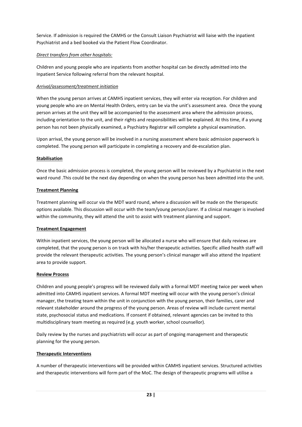Service. If admission is required the CAMHS or the Consult Liaison Psychiatrist will liaise with the inpatient Psychiatrist and a bed booked via the Patient Flow Coordinator.

#### *Direct transfers from other hospitals:*

Children and young people who are inpatients from another hospital can be directly admitted into the Inpatient Service following referral from the relevant hospital.

#### *Arrival/assessment/treatment initiation*

When the young person arrives at CAMHS inpatient services, they will enter via reception. For children and young people who are on Mental Health Orders, entry can be via the unit's assessment area. Once the young person arrives at the unit they will be accompanied to the assessment area where the admission process, including orientation to the unit, and their rights and responsibilities will be explained. At this time, if a young person has not been physically examined, a Psychiatry Registrar will complete a physical examination.

Upon arrival, the young person will be involved in a nursing assessment where basic admission paperwork is completed. The young person will participate in completing a recovery and de-escalation plan.

#### **Stabilisation**

Once the basic admission process is completed, the young person will be reviewed by a Psychiatrist in the next ward round .This could be the next day depending on when the young person has been admitted into the unit.

#### **Treatment Planning**

Treatment planning will occur via the MDT ward round, where a discussion will be made on the therapeutic options available. This discussion will occur with the team/young person/carer. If a clinical manager is involved within the community, they will attend the unit to assist with treatment planning and support.

#### **Treatment Engagement**

Within inpatient services, the young person will be allocated a nurse who will ensure that daily reviews are completed, that the young person is on track with his/her therapeutic activities. Specific allied health staff will provide the relevant therapeutic activities. The young person's clinical manager will also attend the Inpatient area to provide support.

#### **Review Process**

Children and young people's progress will be reviewed daily with a formal MDT meeting twice per week when admitted into CAMHS inpatient services. A formal MDT meeting will occur with the young person's clinical manager, the treating team within the unit in conjunction with the young person, their families, carer and relevant stakeholder around the progress of the young person. Areas of review will include current mental state, psychosocial status and medications. If consent if obtained, relevant agencies can be invited to this multidisciplinary team meeting as required (e.g. youth worker, school counsellor).

Daily review by the nurses and psychiatrists will occur as part of ongoing management and therapeutic planning for the young person.

# **Therapeutic Interventions**

A number of therapeutic interventions will be provided within CAMHS inpatient services. Structured activities and therapeutic interventions will form part of the MoC. The design of therapeutic programs will utilise a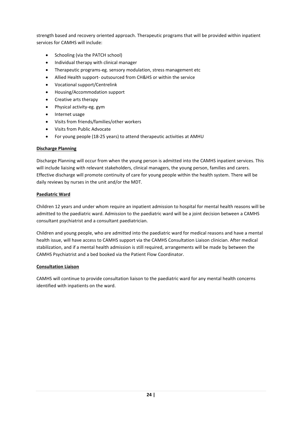strength based and recovery oriented approach. Therapeutic programs that will be provided within inpatient services for CAMHS will include:

- Schooling (via the PATCH school)
- Individual therapy with clinical manager
- Therapeutic programs-eg. sensory modulation, stress management etc
- Allied Health support- outsourced from CH&HS or within the service
- Vocational support/Centrelink
- Housing/Accommodation support
- Creative arts therapy
- Physical activity-eg. gym
- Internet usage
- Visits from friends/families/other workers
- Visits from Public Advocate
- For young people (18-25 years) to attend therapeutic activities at AMHU

#### **Discharge Planning**

Discharge Planning will occur from when the young person is admitted into the CAMHS inpatient services. This will include liaising with relevant stakeholders, clinical managers, the young person, families and carers. Effective discharge will promote continuity of care for young people within the health system. There will be daily reviews by nurses in the unit and/or the MDT.

#### **Paediatric Ward**

Children 12 years and under whom require an inpatient admission to hospital for mental health reasons will be admitted to the paediatric ward. Admission to the paediatric ward will be a joint decision between a CAMHS consultant psychiatrist and a consultant paediatrician.

Children and young people, who are admitted into the paediatric ward for medical reasons and have a mental health issue, will have access to CAMHS support via the CAMHS Consultation Liaison clinician. After medical stabilization, and if a mental health admission is still required, arrangements will be made by between the CAMHS Psychiatrist and a bed booked via the Patient Flow Coordinator.

#### **Consultation Liaison**

CAMHS will continue to provide consultation liaison to the paediatric ward for any mental health concerns identified with inpatients on the ward.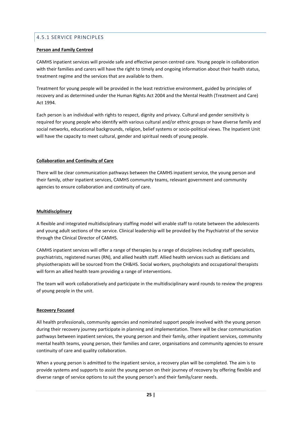# 4.5.1 SERVICE PRINCIPLES

#### **Person and Family Centred**

CAMHS inpatient services will provide safe and effective person centred care. Young people in collaboration with their families and carers will have the right to timely and ongoing information about their health status, treatment regime and the services that are available to them.

Treatment for young people will be provided in the least restrictive environment, guided by principles of recovery and as determined under the Human Rights Act 2004 and the Mental Health (Treatment and Care) Act 1994.

Each person is an individual with rights to respect, dignity and privacy. Cultural and gender sensitivity is required for young people who identify with various cultural and/or ethnic groups or have diverse family and social networks, educational backgrounds, religion, belief systems or socio-political views. The Inpatient Unit will have the capacity to meet cultural, gender and spiritual needs of young people.

#### **Collaboration and Continuity of Care**

There will be clear communication pathways between the CAMHS inpatient service, the young person and their family, other inpatient services, CAMHS community teams, relevant government and community agencies to ensure collaboration and continuity of care.

#### **Multidisciplinary**

A flexible and integrated multidisciplinary staffing model will enable staff to rotate between the adolescents and young adult sections of the service. Clinical leadership will be provided by the Psychiatrist of the service through the Clinical Director of CAMHS.

CAMHS inpatient services will offer a range of therapies by a range of disciplines including staff specialists, psychiatrists, registered nurses (RN), and allied health staff. Allied health services such as dieticians and physiotherapists will be sourced from the CH&HS. Social workers, psychologists and occupational therapists will form an allied health team providing a range of interventions.

The team will work collaboratively and participate in the multidisciplinary ward rounds to review the progress of young people in the unit.

#### **Recovery Focused**

All health professionals, community agencies and nominated support people involved with the young person during their recovery journey participate in planning and implementation. There will be clear communication pathways between inpatient services, the young person and their family, other inpatient services, community mental health teams, young person, their families and carer, organisations and community agencies to ensure continuity of care and quality collaboration.

When a young person is admitted to the inpatient service, a recovery plan will be completed. The aim is to provide systems and supports to assist the young person on their journey of recovery by offering flexible and diverse range of service options to suit the young person's and their family/carer needs.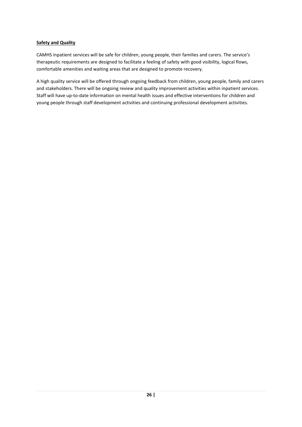#### **Safety and Quality**

CAMHS inpatient services will be safe for children, young people, their families and carers. The service's therapeutic requirements are designed to facilitate a feeling of safety with good visibility, logical flows, comfortable amenities and waiting areas that are designed to promote recovery.

A high quality service will be offered through ongoing feedback from children, young people, family and carers and stakeholders. There will be ongoing review and quality improvement activities within inpatient services. Staff will have up-to-date information on mental health issues and effective interventions for children and young people through staff development activities and continuing professional development activities.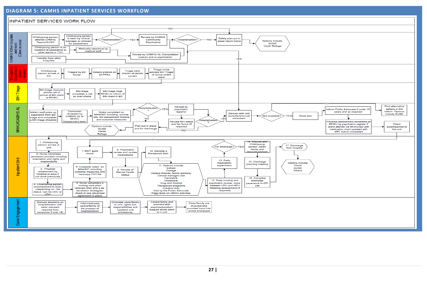#### **DIAGRAM 5: CAMHS INPATIENT SERVICES WORKFLOW**

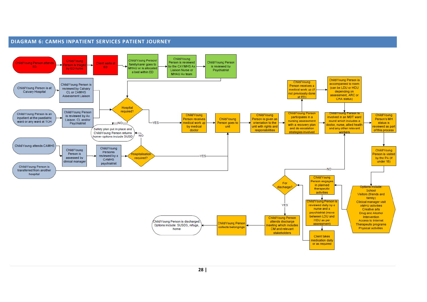#### **DIAGRAM 6: CAMHS INPATIENT SERVICES PATIENT JOURNEY**

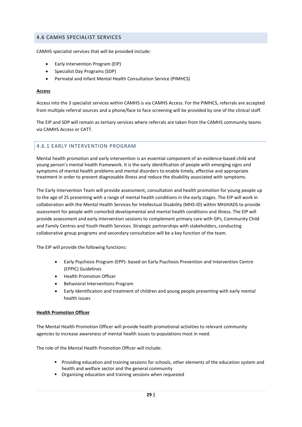# 4.6 CAMHS SPECIALIST SERVICES

CAMHS specialist services that will be provided include:

- Early Intervention Program (EIP)
- Specialist Day Programs (SDP)
- Perinatal and Infant Mental Health Consultation Service (PIMHCS)

#### **Access**

Access into the 3 specialist services within CAMHS is via CAMHS Access. For the PIMHCS, referrals are accepted from multiple referral sources and a phone/face to face screening will be provided by one of the clinical staff.

The EIP and SDP will remain as tertiary services where referrals are taken from the CAMHS community teams via CAMHS Access or CATT.

#### 4.6.1 EARLY INTERVENTION PROGRAM

Mental health promotion and early intervention is an essential component of an evidence-based child and young person's mental health framework. It is the early identification of people with emerging signs and symptoms of mental health problems and mental disorders to enable timely, effective and appropriate treatment in order to prevent diagnosable illness and reduce the disability associated with symptoms.

The Early Intervention Team will provide assessment, consultation and health promotion for young people up to the age of 25 presenting with a range of mental health conditions in the early stages. The EIP will work in collaboration with the Mental Health Services for Intellectual Disability (MHS-ID) within MHJHADS to provide assessment for people with comorbid developmental and mental health conditions and illness. The EIP will provide assessment and early intervention sessions to complement primary care with GPs, Community Child and Family Centres and Youth Health Services. Strategic partnerships with stakeholders, conducting collaborative group programs and secondary consultation will be a key function of the team.

The EIP will provide the following functions:

- Early Psychosis Program (EPP)- based on Early Psychosis Prevention and Intervention Centre (EPPIC) Guidelines
- Health Promotion Officer
- Behavioral Interventions Program
- Early Identification and treatment of children and young people presenting with early mental health issues

#### **Health Promotion Officer**

The Mental Health Promotion Officer will provide health promotional activities to relevant community agencies to increase awareness of mental health issues to populations most in need.

The role of the Mental Health Promotion Officer will include:

- **Providing education and training sessions for schools, other elements of the education system and** health and welfare sector and the general community
- **•** Organising education and training sessions when requested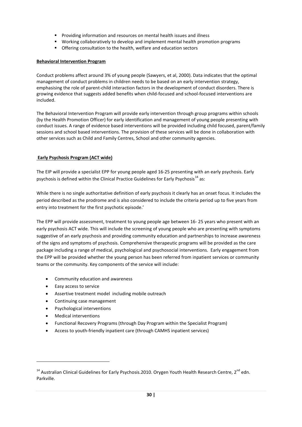- Providing information and resources on mental health issues and illness
- **Working collaboratively to develop and implement mental health promotion programs**
- Offering consultation to the health, welfare and education sectors

#### **Behavioral Intervention Program**

Conduct problems affect around 3% of young people (Sawyers, et al, 2000). Data indicates that the optimal management of conduct problems in children needs to be based on an early intervention strategy, emphasising the role of parent-child interaction factors in the development of conduct disorders. There is growing evidence that suggests added benefits when child-focused and school-focused interventions are included.

The Behavioral Intervention Program will provide early intervention through group programs within schools (by the Health Promotion Officer) for early identification and management of young people presenting with conduct issues. A range of evidence based interventions will be provided including child focused, parent/family sessions and school based interventions. The provision of these services will be done in collaboration with other services such as Child and Family Centres, School and other community agencies.

# **Early Psychosis Program (ACT wide)**

The EIP will provide a specialist EPP for young people aged 16-25 presenting with an early psychosis. Early psychosis is defined within the Clinical Practice Guidelines for Early Psychosis $^{14}$  $^{14}$  $^{14}$  as:

While there is no single authoritative definition of early psychosis it clearly has an onset focus. It includes the period described as the prodrome and is also considered to include the criteria period up to five years from entry into treatment for the first psychotic episode.'

The EPP will provide assessment, treatment to young people age between 16- 25 years who present with an early psychosis ACT wide. This will include the screening of young people who are presenting with symptoms suggestive of an early psychosis and providing community education and partnerships to increase awareness of the signs and symptoms of psychosis. Comprehensive therapeutic programs will be provided as the care package including a range of medical, psychological and psychosocial interventions. Early engagement from the EPP will be provided whether the young person has been referred from inpatient services or community teams or the community. Key components of the service will include:

- Community education and awareness
- Easy access to service
- Assertive treatment model including mobile outreach
- Continuing case management
- Psychological interventions
- Medical interventions

**.** 

- Functional Recovery Programs (through Day Program within the Specialist Program)
- Access to youth-friendly inpatient care (through CAMHS inpatient services)

<span id="page-30-0"></span><sup>&</sup>lt;sup>14</sup> Australian Clinical Guidelines for Early Psychosis.2010. Orygen Youth Health Research Centre, 2<sup>nd</sup> edn. Parkville.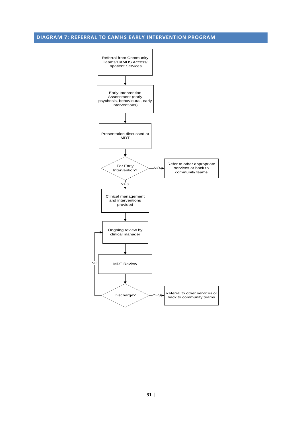# <span id="page-31-0"></span>**DIAGRAM 7: REFERRAL TO CAMHS EARLY INTERVENTION PROGRAM**

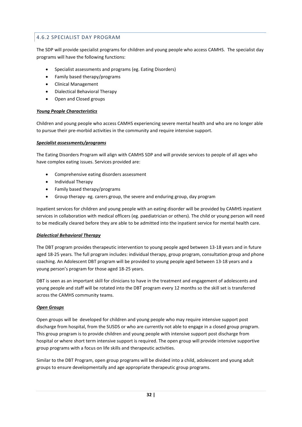# 4.6.2 SPECIALIST DAY PROGRAM

The SDP will provide specialist programs for children and young people who access CAMHS. The specialist day programs will have the following functions:

- Specialist assessments and programs (eg. Eating Disorders)
- Family based therapy/programs
- Clinical Management
- Dialectical Behavioral Therapy
- Open and Closed groups

#### *Young People Characteristics*

Children and young people who access CAMHS experiencing severe mental health and who are no longer able to pursue their pre-morbid activities in the community and require intensive support.

#### *Specialist assessments/programs*

The Eating Disorders Program will align with CAMHS SDP and will provide services to people of all ages who have complex eating issues. Services provided are:

- Comprehensive eating disorders assessment
- Individual Therapy
- Family based therapy/programs
- Group therapy- eg. carers group, the severe and enduring group, day program

Inpatient services for children and young people with an eating disorder will be provided by CAMHS inpatient services in collaboration with medical officers (eg. paediatrician or others). The child or young person will need to be medically cleared before they are able to be admitted into the inpatient service for mental health care.

#### *Dialectical Behavioral Therapy*

The DBT program provides therapeutic intervention to young people aged between 13-18 years and in future aged 18-25 years. The full program includes: individual therapy, group program, consultation group and phone coaching. An Adolescent DBT program will be provided to young people aged between 13-18 years and a young person's program for those aged 18-25 years.

DBT is seen as an important skill for clinicians to have in the treatment and engagement of adolescents and young people and staff will be rotated into the DBT program every 12 months so the skill set is transferred across the CAMHS community teams.

#### *Open Groups*

Open groups will be developed for children and young people who may require intensive support post discharge from hospital, from the SUSDS or who are currently not able to engage in a closed group program. This group program is to provide children and young people with intensive support post discharge from hospital or where short term intensive support is required. The open group will provide intensive supportive group programs with a focus on life skills and therapeutic activities.

Similar to the DBT Program, open group programs will be divided into a child, adolescent and young adult groups to ensure developmentally and age appropriate therapeutic group programs.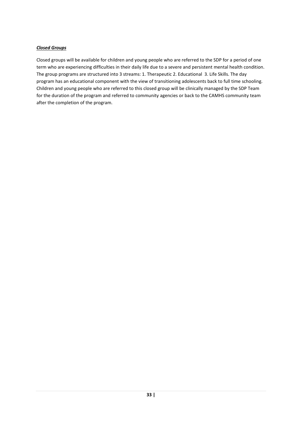# *Closed Groups*

Closed groups will be available for children and young people who are referred to the SDP for a period of one term who are experiencing difficulties in their daily life due to a severe and persistent mental health condition. The group programs are structured into 3 streams: 1. Therapeutic 2. Educational 3. Life Skills. The day program has an educational component with the view of transitioning adolescents back to full time schooling. Children and young people who are referred to this closed group will be clinically managed by the SDP Team for the duration of the program and referred to community agencies or back to the CAMHS community team after the completion of the program.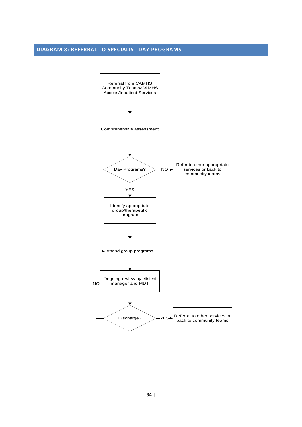# **DIAGRAM 8: REFERRAL TO SPECIALIST DAY PROGRAMS**

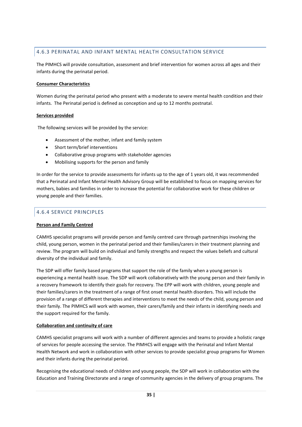# 4.6.3 PERINATAL AND INFANT MENTAL HEALTH CONSULTATION SERVICE

The PIMHCS will provide consultation, assessment and brief intervention for women across all ages and their infants during the perinatal period.

#### **Consumer Characteristics**

Women during the perinatal period who present with a moderate to severe mental health condition and their infants. The Perinatal period is defined as conception and up to 12 months postnatal.

#### **Services provided**

The following services will be provided by the service:

- Assessment of the mother, infant and family system
- Short term/brief interventions
- Collaborative group programs with stakeholder agencies
- Mobilising supports for the person and family

In order for the service to provide assessments for infants up to the age of 1 years old, it was recommended that a Perinatal and Infant Mental Health Advisory Group will be established to focus on mapping services for mothers, babies and families in order to increase the potential for collaborative work for these children or young people and their families.

# 4.6.4 SERVICE PRINCIPLES

#### **Person and Family Centred**

CAMHS specialist programs will provide person and family centred care through partnerships involving the child, young person, women in the perinatal period and their families/carers in their treatment planning and review. The program will build on individual and family strengths and respect the values beliefs and cultural diversity of the individual and family.

The SDP will offer family based programs that support the role of the family when a young person is experiencing a mental health issue. The SDP will work collaboratively with the young person and their family in a recovery framework to identify their goals for recovery. The EPP will work with children, young people and their families/carers in the treatment of a range of first onset mental health disorders. This will include the provision of a range of different therapies and interventions to meet the needs of the child, young person and their family. The PIMHCS will work with women, their carers/family and their infants in identifying needs and the support required for the family.

#### **Collaboration and continuity of care**

CAMHS specialist programs will work with a number of different agencies and teams to provide a holistic range of services for people accessing the service. The PIMHCS will engage with the Perinatal and Infant Mental Health Network and work in collaboration with other services to provide specialist group programs for Women and their infants during the perinatal period.

Recognising the educational needs of children and young people, the SDP will work in collaboration with the Education and Training Directorate and a range of community agencies in the delivery of group programs. The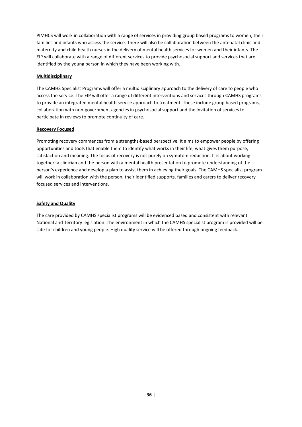PIMHCS will work in collaboration with a range of services in providing group based programs to women, their families and infants who access the service. There will also be collaboration between the antenatal clinic and maternity and child health nurses in the delivery of mental health services for women and their infants. The EIP will collaborate with a range of different services to provide psychosocial support and services that are identified by the young person in which they have been working with.

#### **Multidisciplinary**

The CAMHS Specialist Programs will offer a multidisciplinary approach to the delivery of care to people who access the service. The EIP will offer a range of different interventions and services through CAMHS programs to provide an integrated mental health service approach to treatment. These include group based programs, collaboration with non-government agencies in psychosocial support and the invitation of services to participate in reviews to promote continuity of care.

#### **Recovery Focused**

Promoting recovery commences from a strengths-based perspective. It aims to empower people by offering opportunities and tools that enable them to identify what works in their life, what gives them purpose, satisfaction and meaning. The focus of recovery is not purely on symptom reduction. It is about working together: a clinician and the person with a mental health presentation to promote understanding of the person's experience and develop a plan to assist them in achieving their goals. The CAMHS specialist program will work in collaboration with the person, their identified supports, families and carers to deliver recovery focused services and interventions.

#### **Safety and Quality**

The care provided by CAMHS specialist programs will be evidenced based and consistent with relevant National and Territory legislation. The environment in which the CAMHS specialist program is provided will be safe for children and young people. High quality service will be offered through ongoing feedback.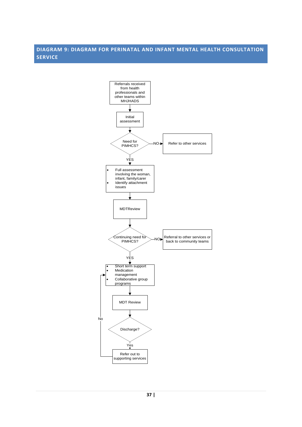# **DIAGRAM 9: DIAGRAM FOR PERINATAL AND INFANT MENTAL HEALTH CONSULTATION SERVICE**

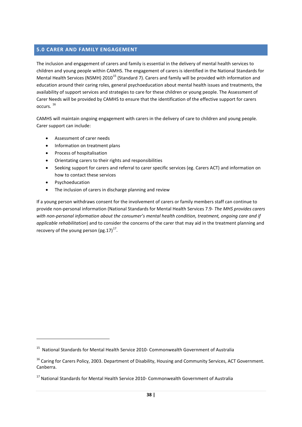# **5.0 CARER AND FAMILY ENGAGEMENT**

The inclusion and engagement of carers and family is essential in the delivery of mental health services to children and young people within CAMHS. The engagement of carers is identified in the National Standards for Mental Health Services (NSMH) 2010<sup>[15](#page-38-0)</sup> (Standard 7). Carers and family will be provided with information and education around their caring roles, general psychoeducation about mental health issues and treatments, the availability of support services and strategies to care for these children or young people. The Assessment of Carer Needs will be provided by CAMHS to ensure that the identification of the effective support for carers occurs. [16](#page-38-1)

CAMHS will maintain ongoing engagement with carers in the delivery of care to children and young people. Carer support can include:

- Assessment of carer needs
- Information on treatment plans
- Process of hospitalisation
- Orientating carers to their rights and responsibilities
- Seeking support for carers and referral to carer specific services (eg. Carers ACT) and information on how to contact these services
- **Psychoeducation**

1

• The inclusion of carers in discharge planning and review

If a young person withdraws consent for the involvement of carers or family members staff can continue to provide non-personal information (National Standards for Mental Health Services 7.9- *The MHS provides carers with non-personal information about the consumer's mental health condition, treatment, ongoing care and if applicable rehabilitation*) and to consider the concerns of the carer that may aid in the treatment planning and recovery of the young person  $(pg.17)^{17}$  $(pg.17)^{17}$  $(pg.17)^{17}$ .

<span id="page-38-0"></span><sup>&</sup>lt;sup>15</sup> National Standards for Mental Health Service 2010- Commonwealth Government of Australia

<span id="page-38-1"></span><sup>&</sup>lt;sup>16</sup> Caring for Carers Policy, 2003. Department of Disability, Housing and Community Services, ACT Government. Canberra.

<span id="page-38-2"></span><sup>&</sup>lt;sup>17</sup> National Standards for Mental Health Service 2010- Commonwealth Government of Australia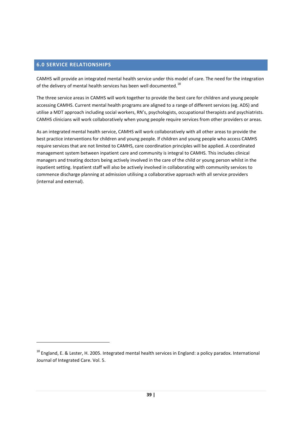# **6.0 SERVICE RELATIONSHIPS**

**.** 

CAMHS will provide an integrated mental health service under this model of care. The need for the integration of the delivery of mental health services has been well documented.<sup>[18](#page-39-0)</sup>

The three service areas in CAMHS will work together to provide the best care for children and young people accessing CAMHS. Current mental health programs are aligned to a range of different services (eg. ADS) and utilise a MDT approach including social workers, RN's, psychologists, occupational therapists and psychiatrists. CAMHS clinicians will work collaboratively when young people require services from other providers or areas.

As an integrated mental health service, CAMHS will work collaboratively with all other areas to provide the best practice interventions for children and young people. If children and young people who access CAMHS require services that are not limited to CAMHS, care coordination principles will be applied. A coordinated management system between inpatient care and community is integral to CAMHS. This includes clinical managers and treating doctors being actively involved in the care of the child or young person whilst in the inpatient setting. Inpatient staff will also be actively involved in collaborating with community services to commence discharge planning at admission utilising a collaborative approach with all service providers (internal and external).

<span id="page-39-0"></span><sup>&</sup>lt;sup>18</sup> England, E. & Lester, H. 2005. Integrated mental health services in England: a policy paradox. International Journal of Integrated Care. Vol. 5.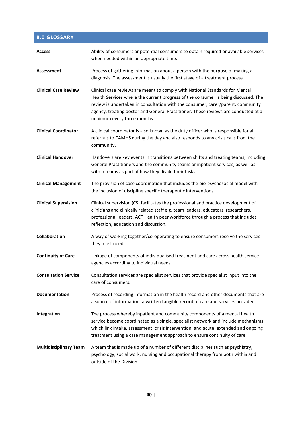# **8.0 GLOSSARY**

| <b>Access</b>                 | Ability of consumers or potential consumers to obtain required or available services<br>when needed within an appropriate time.                                                                                                                                                                                                                                            |
|-------------------------------|----------------------------------------------------------------------------------------------------------------------------------------------------------------------------------------------------------------------------------------------------------------------------------------------------------------------------------------------------------------------------|
| <b>Assessment</b>             | Process of gathering information about a person with the purpose of making a<br>diagnosis. The assessment is usually the first stage of a treatment process.                                                                                                                                                                                                               |
| <b>Clinical Case Review</b>   | Clinical case reviews are meant to comply with National Standards for Mental<br>Health Services where the current progress of the consumer is being discussed. The<br>review is undertaken in consultation with the consumer, carer/parent, community<br>agency, treating doctor and General Practitioner. These reviews are conducted at a<br>minimum every three months. |
| <b>Clinical Coordinator</b>   | A clinical coordinator is also known as the duty officer who is responsible for all<br>referrals to CAMHS during the day and also responds to any crisis calls from the<br>community.                                                                                                                                                                                      |
| <b>Clinical Handover</b>      | Handovers are key events in transitions between shifts and treating teams, including<br>General Practitioners and the community teams or inpatient services, as well as<br>within teams as part of how they divide their tasks.                                                                                                                                            |
| <b>Clinical Management</b>    | The provision of case coordination that includes the bio-psychosocial model with<br>the inclusion of discipline specific therapeutic interventions.                                                                                                                                                                                                                        |
| <b>Clinical Supervision</b>   | Clinical supervision (CS) facilitates the professional and practice development of<br>clinicians and clinically related staff e.g. team leaders, educators, researchers,<br>professional leaders, ACT Health peer workforce through a process that includes<br>reflection, education and discussion.                                                                       |
| <b>Collaboration</b>          | A way of working together/co-operating to ensure consumers receive the services<br>they most need.                                                                                                                                                                                                                                                                         |
| <b>Continuity of Care</b>     | Linkage of components of individualised treatment and care across health service<br>agencies according to individual needs.                                                                                                                                                                                                                                                |
| <b>Consultation Service</b>   | Consultation services are specialist services that provide specialist input into the<br>care of consumers.                                                                                                                                                                                                                                                                 |
| <b>Documentation</b>          | Process of recording information in the health record and other documents that are<br>a source of information; a written tangible record of care and services provided.                                                                                                                                                                                                    |
| Integration                   | The process whereby inpatient and community components of a mental health<br>service become coordinated as a single, specialist network and include mechanisms<br>which link intake, assessment, crisis intervention, and acute, extended and ongoing<br>treatment using a case management approach to ensure continuity of care.                                          |
| <b>Multidisciplinary Team</b> | A team that is made up of a number of different disciplines such as psychiatry,<br>psychology, social work, nursing and occupational therapy from both within and<br>outside of the Division.                                                                                                                                                                              |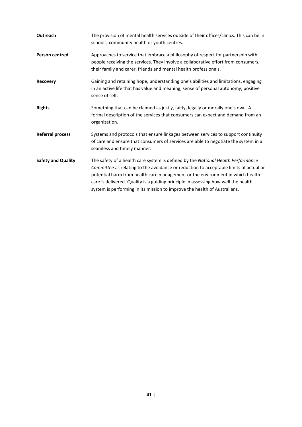| <b>Outreach</b>           | The provision of mental health services outside of their offices/clinics. This can be in<br>schools, community health or youth centres.                                                                                                                                                                                                                                                                                       |
|---------------------------|-------------------------------------------------------------------------------------------------------------------------------------------------------------------------------------------------------------------------------------------------------------------------------------------------------------------------------------------------------------------------------------------------------------------------------|
| <b>Person centred</b>     | Approaches to service that embrace a philosophy of respect for partnership with<br>people receiving the services. They involve a collaborative effort from consumers,<br>their family and carer, friends and mental health professionals.                                                                                                                                                                                     |
| Recovery                  | Gaining and retaining hope, understanding one's abilities and limitations, engaging<br>in an active life that has value and meaning, sense of personal autonomy, positive<br>sense of self.                                                                                                                                                                                                                                   |
| <b>Rights</b>             | Something that can be claimed as justly, fairly, legally or morally one's own. A<br>formal description of the services that consumers can expect and demand from an<br>organization.                                                                                                                                                                                                                                          |
| <b>Referral process</b>   | Systems and protocols that ensure linkages between services to support continuity<br>of care and ensure that consumers of services are able to negotiate the system in a<br>seamless and timely manner.                                                                                                                                                                                                                       |
| <b>Safety and Quality</b> | The safety of a health care system is defined by the National Health Performance<br>Committee as relating to the avoidance or reduction to acceptable limits of actual or<br>potential harm from health care management or the environment in which health<br>care is delivered. Quality is a guiding principle in assessing how well the health<br>system is performing in its mission to improve the health of Australians. |